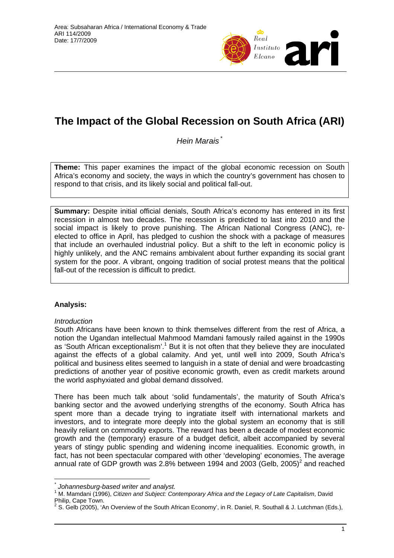

# **The Impact of the Global Recession on South Africa (ARI)**

*Hein Marais* [\\*](#page-0-0)

**Theme:** This paper examines the impact of the global economic recession on South Africa's economy and society, the ways in which the country's government has chosen to respond to that crisis, and its likely social and political fall-out.

**Summary:** Despite initial official denials, South Africa's economy has entered in its first recession in almost two decades. The recession is predicted to last into 2010 and the social impact is likely to prove punishing. The African National Congress (ANC), reelected to office in April, has pledged to cushion the shock with a package of measures that include an overhauled industrial policy. But a shift to the left in economic policy is highly unlikely, and the ANC remains ambivalent about further expanding its social grant system for the poor. A vibrant, ongoing tradition of social protest means that the political fall-out of the recession is difficult to predict.

# **Analysis:**

# *Introduction*

 $\overline{a}$ 

South Africans have been known to think themselves different from the rest of Africa, a notion the Ugandan intellectual Mahmood Mamdani famously railed against in the 1990s as 'South African exceptionalism'.<sup>1</sup> But it is not often that they believe they are inoculated against the effects of a global calamity. And yet, until well into 2009, South Africa's political and business elites seemed to languish in a state of denial and were broadcasting predictions of another year of positive economic growth, even as credit markets around the world asphyxiated and global demand dissolved.

There has been much talk about 'solid fundamentals', the maturity of South Africa's banking sector and the avowed underlying strengths of the economy. South Africa has spent more than a decade trying to ingratiate itself with international markets and investors, and to integrate more deeply into the global system an economy that is still heavily reliant on commodity exports. The reward has been a decade of modest economic growth and the (temporary) erasure of a budget deficit, albeit accompanied by several years of stingy public spending and widening income inequalities. Economic growth, in fact, has not been spectacular compared with other 'developing' economies. The average annual rate of GDP growth was [2](#page-0-2).8% between 1994 and 2003 (Gelb, 2005)<sup>2</sup> and reached

<span id="page-0-0"></span>*<sup>\*</sup>* **Johannesburg-based writer and analyst.** 

<span id="page-0-1"></span>M. Mamdani (1996), *Citizen and Subject: Contemporary Africa and the Legacy of Late Capitalism*, David Philip, Cape Town.

<span id="page-0-2"></span><sup>&</sup>lt;sup>2</sup> S. Gelb (2005), 'An Overview of the South African Economy', in R. Daniel, R. Southall & J. Lutchman (Eds.),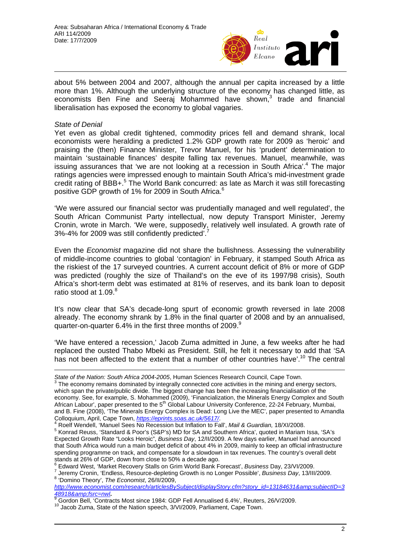

about 5% between 2004 and 2007, although the annual per capita increased by a little more than 1%. Although the underlying structure of the economy has changed little, as economists Ben Fine and Seeraj Mohammed have shown,<sup>[3](#page-1-0)</sup> trade and financial liberalisation has exposed the economy to global vagaries.

#### *State of Denial*

 $\overline{a}$ 

Yet even as global credit tightened, commodity prices fell and demand shrank, local economists were heralding a predicted 1.2% GDP growth rate for 2009 as 'heroic' and praising the (then) Finance Minister, Trevor Manuel, for his 'prudent' determination to maintain 'sustainable finances' despite falling tax revenues. Manuel, meanwhile, was issuing assurances that 'we are not looking at a recession in South Africa'.<sup>[4](#page-1-1)</sup> The major ratings agencies were impressed enough to maintain South Africa's mid-investment grade credit rating of BBB+.<sup>[5](#page-1-2)</sup> The World Bank concurred: as late as March it was still forecasting positive GDP growth of 1% for 2009 in South Africa.<sup>[6](#page-1-3)</sup>

'We were assured our financial sector was prudentially managed and well regulated', the South African Communist Party intellectual, now deputy Transport Minister, Jeremy Cronin, wrote in March. 'We were, supposedly, relatively well insulated. A growth rate of 3%-4% for 2009 was still confidently predicted'.

Even the *Economist* magazine did not share the bullishness. Assessing the vulnerability of middle-income countries to global 'contagion' in February, it stamped South Africa as the riskiest of the 17 surveyed countries. A current account deficit of 8% or more of GDP was predicted (roughly the size of Thailand's on the eve of its 1997/98 crisis), South Africa's short-term debt was estimated at 81% of reserves, and its bank loan to deposit ratio stood at 1.09.<sup>[8](#page-1-5)</sup>

It's now clear that SA's decade-long spurt of economic growth reversed in late 2008 already. The economy shrank by 1.8% in the final quarter of 2008 and by an annualised, quarter-on-quarter 6.4% in the first three months of 2009.<sup>9</sup>

'We have entered a recession,' Jacob Zuma admitted in June, a few weeks after he had replaced the ousted Thabo Mbeki as President. Still, he felt it necessary to add that 'SA has not been affected to the extent that a number of other countries have'.<sup>10</sup> The central

<span id="page-1-0"></span>*State of the Nation: South Africa 2004-2005*, Human Sciences Research Council, Cape Town.<br><sup>3</sup> The economy remains dominated by integrally connected core activities in the mining and energy sectors, which span the private/public divide. The biggest change has been the increasing financialisation of the economy. See, for example, S. Mohammed (2009), 'Financialization, the Minerals Energy Complex and South African Labour', paper presented to the 5<sup>th</sup> Global Labour University Conference, 22-24 February, Mumbai, and B. Fine (2008), 'The Minerals Energy Complex is Dead: Long Live the MEC', paper presented to Amandla Colloquium, April, Cape Town, *https://eprints.soas.ac.uk/5617/*[.](https://eprints.soas.ac.uk/5617/) 4

<span id="page-1-1"></span>Roelf Wendell, 'Manuel Sees No Recession but Inflation to Fall', *Mail & Guardian,* 18/XI/2008. 5

<span id="page-1-2"></span><sup>&</sup>lt;sup>5</sup> Konrad Reuss, 'Standard & Poor's (S&P's) MD for SA and Southern Africa', quoted in Mariam Issa, 'SA's Expected Growth Rate "Looks Heroic", *Business Day*, 12/II/2009. A few days earlier, Manuel had announced that South Africa would run a main budget deficit of about 4% in 2009, mainly to keep an official infrastructure spending programme on track, and compensate for a slowdown in tax revenues. The country's overall debt stands at 26% of GDP, down from close to 50% a decade ago.

<span id="page-1-3"></span>Edward West, 'Market Recovery Stalls on Grim World Bank Forecast', *Business* Day, 23/VI/2009. 7

<span id="page-1-4"></span><sup>&</sup>lt;sup>7</sup> Jeremy Cronin, 'Endless, Resource-depleting Growth is no Longer Possible', *Business Day*, 13/III/2009. 'Domino Theory', *The Economist*, 26/II/2009,

<span id="page-1-5"></span>*[http://www.economist.com/research/articlesBySubject/displayStory.cfm?story\\_id=13184631&subjectID=3](http://www.economist.com/research/articlesBySubject/displayStory.cfm?story_id=13184631&subjectID=348918&fsrc=nwl)* **[48918&fsrc=nwl](http://www.economist.com/research/articlesBySubject/displayStory.cfm?story_id=13184631&subjectID=348918&fsrc=nwl).** 

<span id="page-1-6"></span>Formalism Contracts Most since 1984: GDP Fell Annualised 6.4%', Reuters, 26/V/2009.<br><sup>10</sup> Gordon Bell, 'Contracts Most since 1984: GDP Fell Annualised 6.4%', Reuters, 26/V/2009.<br><sup>10</sup> Jacob Zuma, State of the Nation speech,

<span id="page-1-7"></span>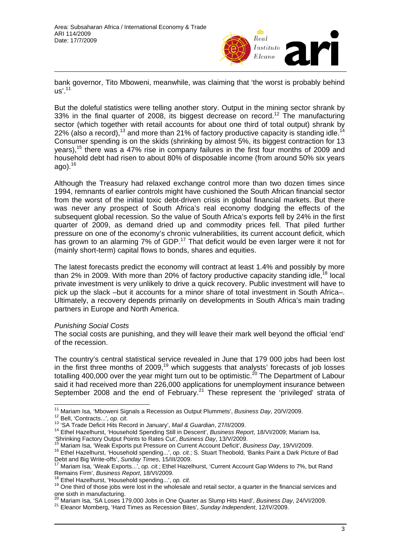

bank governor, Tito Mboweni, meanwhile, was claiming that 'the worst is probably behind  $\mu s'$ .<sup>11</sup>

But the doleful statistics were telling another story. Output in the mining sector shrank by 33% in the final quarter of 2008, its biggest decrease on record.<sup>12</sup> The manufacturing sector (which together with retail accounts for about one third of total output) shrank by 22% (also a record),<sup>[13](#page-2-2)</sup> and more than 21% of factory productive capacity is standing idle.<sup>1</sup> Consumer spending is on the skids (shrinking by almost 5%, its biggest contraction for 13 years),[15](#page-2-4) there was a 47% rise in company failures in the first four months of 2009 and household debt had risen to about 80% of disposable income (from around 50% six years ago). $16$ 

Although the Treasury had relaxed exchange control more than two dozen times since 1994, remnants of earlier controls might have cushioned the South African financial sector from the worst of the initial toxic debt-driven crisis in global financial markets. But there was never any prospect of South Africa's real economy dodging the effects of the subsequent global recession. So the value of South Africa's exports fell by 24% in the first quarter of 2009, as demand dried up and commodity prices fell. That piled further pressure on one of the economy's chronic vulnerabilities, its current account deficit, which has grown to an alarming 7% of GDP.<sup>17</sup> That deficit would be even larger were it not for (mainly short-term) capital flows to bonds, shares and equities.

The latest forecasts predict the economy will contract at least 1.4% and possibly by more than 2% in 2009. With more than 20% of factory productive capacity standing idle.<sup>18</sup> local private investment is very unlikely to drive a quick recovery. Public investment will have to pick up the slack –but it accounts for a minor share of total investment in South Africa–. Ultimately, a recovery depends primarily on developments in South Africa's main trading partners in Europe and North America.

#### *Punishing Social Costs*

The social costs are punishing, and they will leave their mark well beyond the official 'end' of the recession.

The country's central statistical service revealed in June that 179 000 jobs had been lost in the first three months of 2009,<sup>19</sup> which suggests that analysts' forecasts of job losses totalling 400,000 over the year might turn out to be optimistic.<sup>20</sup> The Department of Labour said it had received more than 226,000 applications for unemployment insurance between September 2008 and the end of February.<sup>21</sup> These represent the 'privileged' strata of

 $\overline{a}$ <sup>11</sup> Mariam Isa, 'Mboweni Signals a Recession as Output Plummets', *Business Day*, 20/V/2009.<br><sup>12</sup> Bell, 'Contracts...', *op. cit.*<br><sup>13</sup> 'SA Trade Deficit Hits Record in January', *Mail & Guardian*, 27/II/2009.<br><sup>14</sup> Ethel

<span id="page-2-1"></span><span id="page-2-0"></span>

<span id="page-2-2"></span>

<span id="page-2-3"></span>

<span id="page-2-5"></span><span id="page-2-4"></span>

<sup>&</sup>quot;Shrinking Factory Output Points to Rates Cut', Business Day, 13/V/2009.<br><sup>15</sup> Mariam Isa, 'Weak Exports put Pressure on Current Account Deficit', Business Day, 19/VI/2009.<br><sup>16</sup> Ethel Hazelhurst, 'Household spending...', op

<span id="page-2-6"></span><sup>&</sup>lt;sup>17</sup> Mariam Isa, 'Weak Exports...', *op. cit.*; Ethel Hazelhurst, 'Current Account Gap Widens to 7%, but Rand<br>Remains Firm', *Business Report*, 18/VI/2009.

<span id="page-2-8"></span><span id="page-2-7"></span>

<sup>&</sup>lt;sup>18</sup> Ethel Hazelhurst, 'Household spending...', op. cit.<br><sup>19</sup> One third of those jobs were lost in the wholesale and retail sector, a quarter in the financial services and one sixth in manufacturing.<br><sup>20</sup> Mariam Isa, 'SA Loses 179,000 Jobs in One Quarter as Slump Hits Hard', *Business Day*, 24/VI/2009.<br><sup>21</sup> Eleanor Momberg, 'Hard Times as Recession Bites', Sunday Independent, 12/IV/2009.

<span id="page-2-9"></span>

<span id="page-2-10"></span>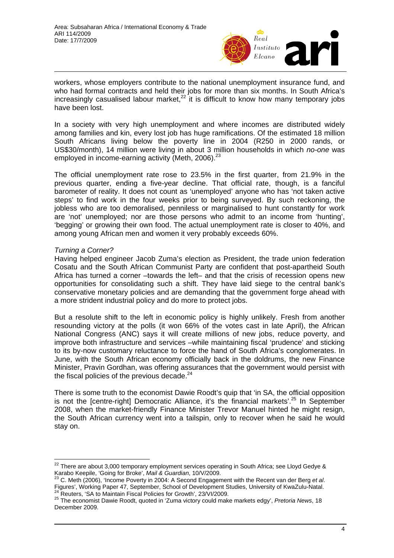

workers, whose employers contribute to the national unemployment insurance fund, and who had formal contracts and held their jobs for more than six months. In South Africa's increasingly casualised labour market, $22$  it is difficult to know how many temporary jobs have been lost.

In a society with very high unemployment and where incomes are distributed widely among families and kin, every lost job has huge ramifications. Of the estimated 18 million South Africans living below the poverty line in 2004 (R250 in 2000 rands, or US\$30/month), 14 million were living in about 3 million households in which *no-one* was employed in income-earning activity (Meth, 2006).<sup>[23](#page-3-1)</sup>

The official unemployment rate rose to 23.5% in the first quarter, from 21.9% in the previous quarter, ending a five-year decline. That official rate, though, is a fanciful barometer of reality. It does not count as 'unemployed' anyone who has 'not taken active steps' to find work in the four weeks prior to being surveyed. By such reckoning, the jobless who are too demoralised, penniless or marginalised to hunt constantly for work are 'not' unemployed; nor are those persons who admit to an income from 'hunting', 'begging' or growing their own food. The actual unemployment rate is closer to 40%, and among young African men and women it very probably exceeds 60%.

## *Turning a Corner?*

 $\overline{a}$ 

Having helped engineer Jacob Zuma's election as President, the trade union federation Cosatu and the South African Communist Party are confident that post-apartheid South Africa has turned a corner –towards the left– and that the crisis of recession opens new opportunities for consolidating such a shift. They have laid siege to the central bank's conservative monetary policies and are demanding that the government forge ahead with a more strident industrial policy and do more to protect jobs.

But a resolute shift to the left in economic policy is highly unlikely. Fresh from another resounding victory at the polls (it won 66% of the votes cast in late April), the African National Congress (ANC) says it will create millions of new jobs, reduce poverty, and improve both infrastructure and services –while maintaining fiscal 'prudence' and sticking to its by-now customary reluctance to force the hand of South Africa's conglomerates. In June, with the South African economy officially back in the doldrums, the new Finance Minister, Pravin Gordhan, was offering assurances that the government would persist with the fiscal policies of the previous decade.<sup>[24](#page-3-2)</sup>

There is some truth to the economist Dawie Roodt's quip that 'in SA, the official opposition is not the [centre-right] Democratic Alliance, it's the financial markets'.<sup>25</sup> In September 2008, when the market-friendly Finance Minister Trevor Manuel hinted he might resign, the South African currency went into a tailspin, only to recover when he said he would stay on.

<span id="page-3-0"></span> $^{22}$  There are about 3,000 temporary employment services operating in South Africa; see Lloyd Gedye & Karabo Keepile, 'Going for Broke', *Mail & Guardian*, 10/V/2009. 23 C. Meth (2006), 'Income Poverty in 2004: A Second Engagement with the Recent van der Berg *et al*.

<span id="page-3-1"></span>Prigures', Working Paper 47, September, School of Development Studies, University of KwaZulu-Natal.<br><sup>24</sup> Reuters, 'SA to Maintain Fiscal Policies for Growth', 23/VI/2009.<br><sup>25</sup> The economist Dawie Roodt, quoted in 'Zuma vic

<span id="page-3-3"></span><span id="page-3-2"></span>December 2009.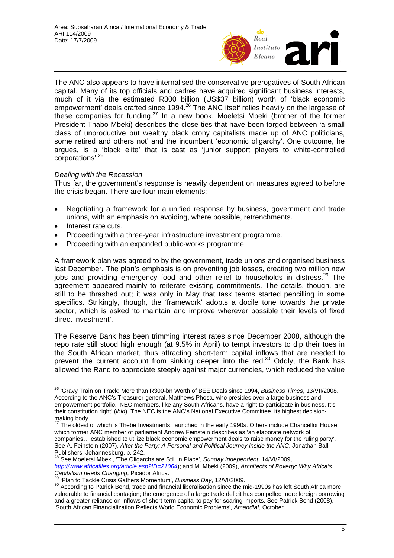

The ANC also appears to have internalised the conservative prerogatives of South African capital. Many of its top officials and cadres have acquired significant business interests, much of it via the estimated R300 billion (US\$37 billion) worth of 'black economic empowerment' deals crafted since 1994.[26](#page-4-0) The ANC itself relies heavily on the largesse of these companies for funding.[27](#page-4-1) In a new book, Moeletsi Mbeki (brother of the former President Thabo Mbeki) describes the close ties that have been forged between 'a small class of unproductive but wealthy black crony capitalists made up of ANC politicians, some retired and others not' and the incumbent 'economic oligarchy'. One outcome, he argues, is a 'black elite' that is cast as 'junior support players to white-controlled corporations'.<sup>[28](#page-4-2)</sup>

## *Dealing with the Recession*

Thus far, the government's response is heavily dependent on measures agreed to before the crisis began. There are four main elements:

- Negotiating a framework for a unified response by business, government and trade unions, with an emphasis on avoiding, where possible, retrenchments.
- Interest rate cuts.

 $\overline{a}$ 

- Proceeding with a three-year infrastructure investment programme.
- Proceeding with an expanded public-works programme.

A framework plan was agreed to by the government, trade unions and organised business last December. The plan's emphasis is on preventing job losses, creating two million new jobs and providing emergency food and other relief to households in distress.<sup>29</sup> The agreement appeared mainly to reiterate existing commitments. The details, though, are still to be thrashed out; it was only in May that task teams started pencilling in some specifics. Strikingly, though, the 'framework' adopts a docile tone towards the private sector, which is asked 'to maintain and improve wherever possible their levels of fixed direct investment'.

The Reserve Bank has been trimming interest rates since December 2008, although the repo rate still stood high enough (at 9.5% in April) to tempt investors to dip their toes in the South African market, thus attracting short-term capital inflows that are needed to prevent the current account from sinking deeper into the red.<sup>30</sup> Oddly, the Bank has allowed the Rand to appreciate steeply against major currencies, which reduced the value

<span id="page-4-0"></span><sup>26 &#</sup>x27;Gravy Train on Track: More than R300-bn Worth of BEE Deals since 1994, *Business Times*, 13/VII/2008. According to the ANC's Treasurer-general, Matthews Phosa, who presides over a large business and empowerment portfolio, 'NEC members, like any South Africans, have a right to participate in business. It's their constitution right' (*ibid*). The NEC is the ANC's National Executive Committee, its highest decision-<br>making body.

<span id="page-4-1"></span>The oldest of which is Thebe Investments, launched in the early 1990s. Others include Chancellor House, which former ANC member of parliament Andrew Feinstein describes as 'an elaborate network of companies… established to utilize black economic empowerment deals to raise money for the ruling party'. See A. Feinstein (2007), *After the Party: A Personal and Political Journey inside the ANC*, Jonathan Ball Publishers, Johannesburg, p. 242.

<span id="page-4-2"></span>See Moeletsi Mbeki, 'The Oligarchs are Still in Place', *Sunday Independent*, 14/VI/2009, *<http://www.africafiles.org/article.asp?ID=21064>*); and M. Mbeki (2009), *Architects of Poverty: Why Africa's*

<span id="page-4-4"></span><span id="page-4-3"></span>

<sup>&</sup>lt;sup>29</sup> 'Plan to Tackle Crisis Gathers Momentum', Business Day, 12/VI/2009.<br><sup>30</sup> According to Patrick Bond, trade and financial liberalisation since the mid-1990s has left South Africa more vulnerable to financial contagion; the emergence of a large trade deficit has compelled more foreign borrowing and a greater reliance on inflows of short-term capital to pay for soaring imports. See Patrick Bond (2008), 'South African Financialization Reflects World Economic Problems', *Amandla!*, October.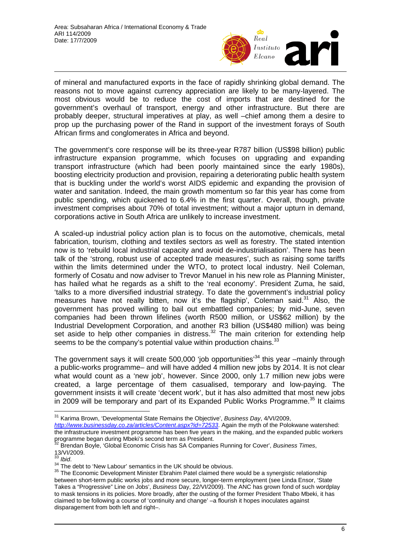

of mineral and manufactured exports in the face of rapidly shrinking global demand. The reasons not to move against currency appreciation are likely to be many-layered. The most obvious would be to reduce the cost of imports that are destined for the government's overhaul of transport, energy and other infrastructure. But there are probably deeper, structural imperatives at play, as well –chief among them a desire to prop up the purchasing power of the Rand in support of the investment forays of South African firms and conglomerates in Africa and beyond.

The government's core response will be its three-year R787 billion (US\$98 billion) public infrastructure expansion programme, which focuses on upgrading and expanding transport infrastructure (which had been poorly maintained since the early 1980s), boosting electricity production and provision, repairing a deteriorating public health system that is buckling under the world's worst AIDS epidemic and expanding the provision of water and sanitation. Indeed, the main growth momentum so far this year has come from public spending, which quickened to 6.4% in the first quarter. Overall, though, private investment comprises about 70% of total investment; without a major upturn in demand, corporations active in South Africa are unlikely to increase investment.

A scaled-up industrial policy action plan is to focus on the automotive, chemicals, metal fabrication, tourism, clothing and textiles sectors as well as forestry. The stated intention now is to 'rebuild local industrial capacity and avoid de-industrialisation'. There has been talk of the 'strong, robust use of accepted trade measures', such as raising some tariffs within the limits determined under the WTO, to protect local industry. Neil Coleman, formerly of Cosatu and now adviser to Trevor Manuel in his new role as Planning Minister, has hailed what he regards as a shift to the 'real economy'. President Zuma, he said, 'talks to a more diversified industrial strategy. To date the government's industrial policy measures have not really bitten, now it's the flagship', Coleman said.<sup>31</sup> Also, the government has proved willing to bail out embattled companies; by mid-June, seven companies had been thrown lifelines (worth R500 million, or US\$62 million) by the Industrial Development Corporation, and another R3 billion (US\$480 million) was being set aside to help other companies in distress. $32$  The main criterion for extending help seems to be the company's potential value within production chains.<sup>[33](#page-5-2)</sup>

The government says it will create 500,000 'job opportunities'<sup>34</sup> this year -mainly through a public-works programme– and will have added 4 million new jobs by 2014. It is not clear what would count as a 'new job', however. Since 2000, only 1.7 million new jobs were created, a large percentage of them casualised, temporary and low-paying. The government insists it will create 'decent work', but it has also admitted that most new jobs in 2009 will be temporary and part of its Expanded Public Works Programme.<sup>35</sup> It claims

<span id="page-5-0"></span> $\overline{a}$ 31 Karima Brown, 'Developmental State Remains the Objective', *Business Day*, 4/VI/2009,

- *<http://www.businessday.co.za/articles/Content.aspx?id=72533>*. Again the myth of the Polokwane watershed: the infrastructure investment programme has been five years in the making, and the expanded public workers<br>programme began during Mbeki's second term as President.
- <span id="page-5-1"></span>Brendan Boyle, 'Global Economic Crisis has SA Companies Running for Cover', *Business Times*,

<span id="page-5-2"></span>

<span id="page-5-4"></span><span id="page-5-3"></span>

<sup>13/</sup>VI/2009.<br><sup>33</sup> *Ibid*.<br><sup>34</sup> The debt to 'New Labour' semantics in the UK should be obvious.<br><sup>35</sup> The Economic Development Minister Ebrahim Patel claimed there would be a synergistic relationship between short-term public works jobs and more secure, longer-term employment (see Linda Ensor, 'State Takes a "Progressive" Line on Jobs', *Business* Day, 22/VI/2009). The ANC has grown fond of such wordplay to mask tensions in its policies. More broadly, after the ousting of the former President Thabo Mbeki, it has claimed to be following a course of 'continuity and change' –a flourish it hopes inoculates against disparagement from both left and right–.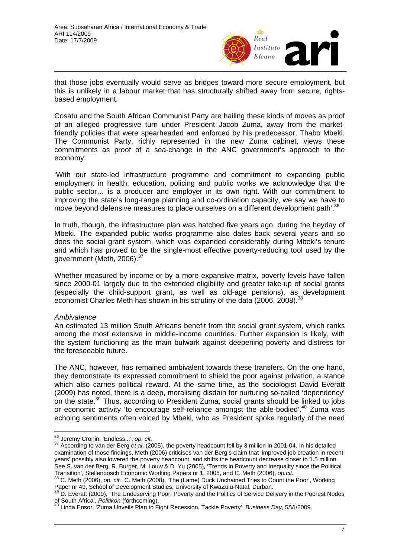

that those jobs eventually would serve as bridges toward more secure employment, but this is unlikely in a labour market that has structurally shifted away from secure, rightsbased employment.

Cosatu and the South African Communist Party are hailing these kinds of moves as proof of an alleged progressive turn under President Jacob Zuma, away from the marketfriendly policies that were spearheaded and enforced by his predecessor, Thabo Mbeki. The Communist Party, richly represented in the new Zuma cabinet, views these commitments as proof of a sea-change in the ANC government's approach to the economy:

'With our state-led infrastructure programme and commitment to expanding public employment in health, education, policing and public works we acknowledge that the public sector… is a producer and employer in its own right. With our commitment to improving the state's long-range planning and co-ordination capacity, we say we have to move beyond defensive measures to place ourselves on a different development path'.<sup>[36](#page-6-0)</sup>

In truth, though, the infrastructure plan was hatched five years ago, during the heyday of Mbeki. The expanded public works programme also dates back several years and so does the social grant system, which was expanded considerably during Mbeki's tenure and which has proved to be the single-most effective poverty-reducing tool used by the government (Meth, 2006).[37](#page-6-1)

Whether measured by income or by a more expansive matrix, poverty levels have fallen since 2000-01 largely due to the extended eligibility and greater take-up of social grants (especially the child-support grant, as well as old-age pensions), as development economist Charles Meth has shown in his scrutiny of the data (2006, 2008).<sup>[38](#page-6-2)</sup>

## *Ambivalence*

An estimated 13 million South Africans benefit from the social grant system, which ranks among the most extensive in middle-income countries. Further expansion is likely, with the system functioning as the main bulwark against deepening poverty and distress for the foreseeable future.

The ANC, however, has remained ambivalent towards these transfers. On the one hand, they demonstrate its expressed commitment to shield the poor against privation, a stance which also carries political reward. At the same time, as the sociologist David Everatt (2009) has noted, there is a deep, moralising disdain for nurturing so-called 'dependency' on the state.<sup>39</sup> Thus, according to President Zuma, social grants should be linked to jobs or economic activity 'to encourage self-reliance amongst the able-bodied'.<sup>40</sup> Zuma was echoing sentiments often voiced by Mbeki, who as President spoke regularly of the need

<span id="page-6-0"></span><sup>&</sup>lt;sup>36</sup> Jeremy Cronin, 'Endless...', op. cit.

<span id="page-6-1"></span><sup>&</sup>lt;sup>37</sup> According to van der Berg *et al.* (2005), the poverty headcount fell by 3 million in 2001-04. In his detailed examination of those findings, Meth (2006) criticises van der Berg's claim that 'improved job creation in recent years' possibly also lowered the poverty headcount, and shifts the headcount decrease closer to 1.5 million. See S. van der Berg, R. Burger, M. Louw & D. Yu (2005), 'Trends in Poverty and Inequality since the Political Transition', Stellenbosch Economic Working Papers nr 1, 2005, and C. Meth (2006), *op.cit*. 38 C. Meth (2006), *op. cit.*; C. Meth (2008), 'The (Lame) Duck Unchained Tries to Count the Poor', Working

<span id="page-6-2"></span>Paper nr 49, School of Development Studies, University of KwaZulu-Natal, Durban.<br><sup>39</sup> D. Everatt (2009), 'The Undeserving Poor: Poverty and the Politics of Service Delivery in the Poorest Nodes

<span id="page-6-3"></span>of South Africa', *Politikon* (forthcoming). 40 Linda Ensor, 'Zuma Unveils Plan to Fight Recession, Tackle Poverty', *Business Day*, 5/VI/2009.

<span id="page-6-4"></span>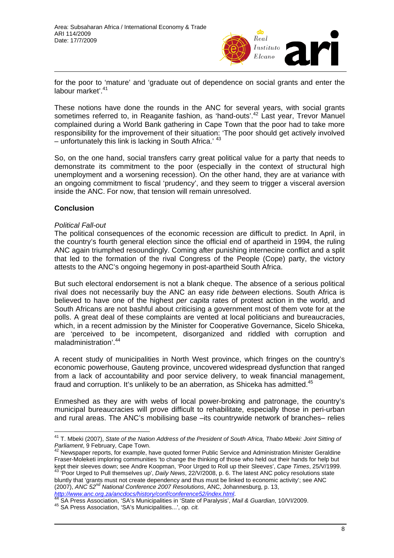

for the poor to 'mature' and 'graduate out of dependence on social grants and enter the labour market'.<sup>[41](#page-7-0)</sup>

These notions have done the rounds in the ANC for several years, with social grants sometimes referred to, in Reaganite fashion, as 'hand-outs'.<sup>42</sup> Last year, Trevor Manuel complained during a World Bank gathering in Cape Town that the poor had to take more responsibility for the improvement of their situation: 'The poor should get actively involved  $-$  unfortunately this link is lacking in South Africa.'  $43$ 

So, on the one hand, social transfers carry great political value for a party that needs to demonstrate its commitment to the poor (especially in the context of structural high unemployment and a worsening recession). On the other hand, they are at variance with an ongoing commitment to fiscal 'prudency', and they seem to trigger a visceral aversion inside the ANC. For now, that tension will remain unresolved.

## **Conclusion**

#### *Political Fall-out*

The political consequences of the economic recession are difficult to predict. In April, in the country's fourth general election since the official end of apartheid in 1994, the ruling ANC again triumphed resoundingly. Coming after punishing internecine conflict and a split that led to the formation of the rival Congress of the People (Cope) party, the victory attests to the ANC's ongoing hegemony in post-apartheid South Africa.

But such electoral endorsement is not a blank cheque. The absence of a serious political rival does not necessarily buy the ANC an easy ride *between* elections. South Africa is believed to have one of the highest *per capita* rates of protest action in the world, and South Africans are not bashful about criticising a government most of them vote for at the polls. A great deal of these complaints are vented at local politicians and bureaucracies, which, in a recent admission by the Minister for Cooperative Governance, Sicelo Shiceka, are 'perceived to be incompetent, disorganized and riddled with corruption and maladministration'.[44](#page-7-3)

A recent study of municipalities in North West province, which fringes on the country's economic powerhouse, Gauteng province, uncovered widespread dysfunction that ranged from a lack of accountability and poor service delivery, to weak financial management, fraud and corruption. It's unlikely to be an aberration, as Shiceka has admitted.<sup>[45](#page-7-4)</sup>

Enmeshed as they are with webs of local power-broking and patronage, the country's municipal bureaucracies will prove difficult to rehabilitate, especially those in peri-urban and rural areas. The ANC's mobilising base –its countrywide network of branches– relies

<span id="page-7-0"></span> $\overline{a}$ <sup>41</sup> T. Mbeki (2007), *State of the Nation Address of the President of South Africa, Thabo Mbeki: Joint Sitting of Parliament*, 9 February, Cape Town.<br><sup>42</sup> Newspaper reports, for example, have quoted former Public Service and Administration Minister Geraldine

<span id="page-7-2"></span><span id="page-7-1"></span>Fraser-Moleketi imploring communities 'to change the thinking of those who held out their hands for help but kept their sleeves down; see Andre Koopman, 'Poor Urged to Roll up their Sleeves', Cape Times, 25/V/1999.<br><sup>43</sup> 'Poor Urged to Roll up their Sleeves', Cape Times, 25/V/1999.<br><sup>43</sup> 'Poor Urged to Pull themselves up', *Daily N* bluntly that 'grants must not create dependency and thus must be linked to economic activity'; see ANC (2007), *ANC 52nd National Conference 2007 Resolutions*, ANC, Johannesburg, p. 13, http://www[.](http://www.anc.org.za/ancdocs/history/conf/conference52/index.html)anc.org.za/ancdocs/history/conf/conference52/index.html.<br>
<sup>[44](http://www.anc.org.za/ancdocs/history/conf/conference52/index.html)</sup> SA Press Association, 'SA's Municipalities in 'State of Paralysis', Mail & Guardian, 10/VI/2009.<br>
<sup>45</sup> SA Press Association, 'SA's Municipalities...

<span id="page-7-3"></span>

<span id="page-7-4"></span>